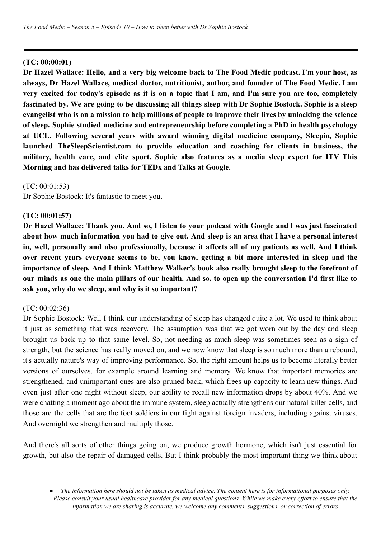#### **(TC: 00:00:01)**

Dr Hazel Wallace: Hello, and a very big welcome back to The Food Medic podcast. I'm your host, as **always, Dr Hazel Wallace, medical doctor, nutritionist, author, and founder of The Food Medic. I am** very excited for today's episode as it is on a topic that I am, and I'm sure you are too, completely fascinated by. We are going to be discussing all things sleep with Dr Sophie Bostock. Sophie is a sleep evangelist who is on a mission to help millions of people to improve their lives by unlocking the science **of sleep. Sophie studied medicine and entrepreneurship before completing a PhD in health psychology at UCL. Following several years with award winning digital medicine company, Sleepio, Sophie launched TheSleepScientist.com to provide education and coaching for clients in business, the military, health care, and elite sport. Sophie also features as a media sleep expert for ITV This Morning and has delivered talks for TEDx and Talks at Google.**

(TC: 00:01:53)

Dr Sophie Bostock: It's fantastic to meet you.

#### **(TC: 00:01:57)**

Dr Hazel Wallace: Thank you. And so, I listen to your podcast with Google and I was just fascinated about how much information you had to give out. And sleep is an area that I have a personal interest in, well, personally and also professionally, because it affects all of my patients as well. And I think **over recent years everyone seems to be, you know, getting a bit more interested in sleep and the importance of sleep. And I think Matthew Walker's book also really brought sleep to the forefront of** our minds as one the main pillars of our health. And so, to open up the conversation I'd first like to **ask you, why do we sleep, and why is it so important?**

#### (TC: 00:02:36)

Dr Sophie Bostock: Well I think our understanding of sleep has changed quite a lot. We used to think about it just as something that was recovery. The assumption was that we got worn out by the day and sleep brought us back up to that same level. So, not needing as much sleep was sometimes seen as a sign of strength, but the science has really moved on, and we now know that sleep is so much more than a rebound, it's actually nature's way of improving performance. So, the right amount helps us to become literally better versions of ourselves, for example around learning and memory. We know that important memories are strengthened, and unimportant ones are also pruned back, which frees up capacity to learn new things. And even just after one night without sleep, our ability to recall new information drops by about 40%. And we were chatting a moment ago about the immune system, sleep actually strengthens our natural killer cells, and those are the cells that are the foot soldiers in our fight against foreign invaders, including against viruses. And overnight we strengthen and multiply those.

And there's all sorts of other things going on, we produce growth hormone, which isn't just essential for growth, but also the repair of damaged cells. But I think probably the most important thing we think about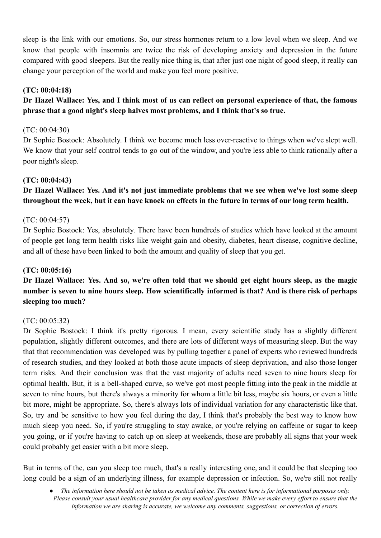sleep is the link with our emotions. So, our stress hormones return to a low level when we sleep. And we know that people with insomnia are twice the risk of developing anxiety and depression in the future compared with good sleepers. But the really nice thing is, that after just one night of good sleep, it really can change your perception of the world and make you feel more positive.

### **(TC: 00:04:18)**

# Dr Hazel Wallace: Yes, and I think most of us can reflect on personal experience of that, the famous **phrase that a good night's sleep halves most problems, and I think that's so true.**

### (TC: 00:04:30)

Dr Sophie Bostock: Absolutely. I think we become much less over-reactive to things when we've slept well. We know that your self control tends to go out of the window, and you're less able to think rationally after a poor night's sleep.

### **(TC: 00:04:43)**

# **Dr Hazel Wallace: Yes. And it's not just immediate problems that we see when we've lost some sleep throughout the week, but it can have knock on effects in the future in terms of our long term health.**

### (TC: 00:04:57)

Dr Sophie Bostock: Yes, absolutely. There have been hundreds of studies which have looked at the amount of people get long term health risks like weight gain and obesity, diabetes, heart disease, cognitive decline, and all of these have been linked to both the amount and quality of sleep that you get.

### **(TC: 00:05:16)**

# Dr Hazel Wallace: Yes. And so, we're often told that we should get eight hours sleep, as the magic number is seven to nine hours sleep. How scientifically informed is that? And is there risk of perhaps **sleeping too much?**

### (TC: 00:05:32)

Dr Sophie Bostock: I think it's pretty rigorous. I mean, every scientific study has a slightly different population, slightly different outcomes, and there are lots of different ways of measuring sleep. But the way that that recommendation was developed was by pulling together a panel of experts who reviewed hundreds of research studies, and they looked at both those acute impacts of sleep deprivation, and also those longer term risks. And their conclusion was that the vast majority of adults need seven to nine hours sleep for optimal health. But, it is a bell-shaped curve, so we've got most people fitting into the peak in the middle at seven to nine hours, but there's always a minority for whom a little bit less, maybe six hours, or even a little bit more, might be appropriate. So, there's always lots of individual variation for any characteristic like that. So, try and be sensitive to how you feel during the day, I think that's probably the best way to know how much sleep you need. So, if you're struggling to stay awake, or you're relying on caffeine or sugar to keep you going, or if you're having to catch up on sleep at weekends, those are probably all signs that your week could probably get easier with a bit more sleep.

But in terms of the, can you sleep too much, that's a really interesting one, and it could be that sleeping too long could be a sign of an underlying illness, for example depression or infection. So, we're still not really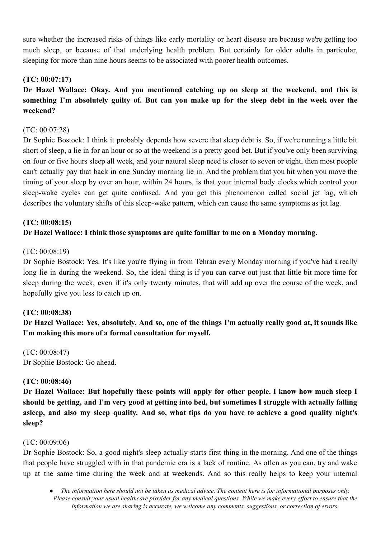sure whether the increased risks of things like early mortality or heart disease are because we're getting too much sleep, or because of that underlying health problem. But certainly for older adults in particular, sleeping for more than nine hours seems to be associated with poorer health outcomes.

### **(TC: 00:07:17)**

**Dr Hazel Wallace: Okay. And you mentioned catching up on sleep at the weekend, and this is** something I'm absolutely guilty of. But can you make up for the sleep debt in the week over the **weekend?**

### (TC: 00:07:28)

Dr Sophie Bostock: I think it probably depends how severe that sleep debt is. So, if we're running a little bit short of sleep, a lie in for an hour or so at the weekend is a pretty good bet. But if you've only been surviving on four or five hours sleep all week, and your natural sleep need is closer to seven or eight, then most people can't actually pay that back in one Sunday morning lie in. And the problem that you hit when you move the timing of your sleep by over an hour, within 24 hours, is that your internal body clocks which control your sleep-wake cycles can get quite confused. And you get this phenomenon called social jet lag, which describes the voluntary shifts of this sleep-wake pattern, which can cause the same symptoms as jet lag.

# **(TC: 00:08:15) Dr Hazel Wallace: I think those symptoms are quite familiar to me on a Monday morning.**

### (TC: 00:08:19)

Dr Sophie Bostock: Yes. It's like you're flying in from Tehran every Monday morning if you've had a really long lie in during the weekend. So, the ideal thing is if you can carve out just that little bit more time for sleep during the week, even if it's only twenty minutes, that will add up over the course of the week, and hopefully give you less to catch up on.

## **(TC: 00:08:38)**

Dr Hazel Wallace: Yes, absolutely. And so, one of the things I'm actually really good at, it sounds like **I'm making this more of a formal consultation for myself.**

(TC: 00:08:47) Dr Sophie Bostock: Go ahead.

### **(TC: 00:08:46)**

**Dr Hazel Wallace: But hopefully these points will apply for other people. I know how much sleep I** should be getting, and I'm very good at getting into bed, but sometimes I struggle with actually falling asleep, and also my sleep quality. And so, what tips do you have to achieve a good quality night's **sleep?**

### (TC: 00:09:06)

Dr Sophie Bostock: So, a good night's sleep actually starts first thing in the morning. And one of the things that people have struggled with in that pandemic era is a lack of routine. As often as you can, try and wake up at the same time during the week and at weekends. And so this really helps to keep your internal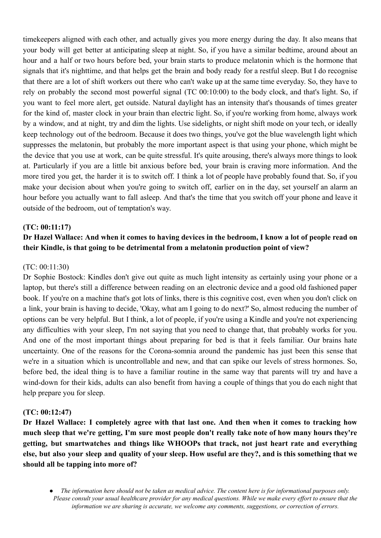timekeepers aligned with each other, and actually gives you more energy during the day. It also means that your body will get better at anticipating sleep at night. So, if you have a similar bedtime, around about an hour and a half or two hours before bed, your brain starts to produce melatonin which is the hormone that signals that it's nighttime, and that helps get the brain and body ready for a restful sleep. But I do recognise that there are a lot of shift workers out there who can't wake up at the same time everyday. So, they have to rely on probably the second most powerful signal (TC 00:10:00) to the body clock, and that's light. So, if you want to feel more alert, get outside. Natural daylight has an intensity that's thousands of times greater for the kind of, master clock in your brain than electric light. So, if you're working from home, always work by a window, and at night, try and dim the lights. Use sidelights, or night shift mode on your tech, or ideally keep technology out of the bedroom. Because it does two things, you've got the blue wavelength light which suppresses the melatonin, but probably the more important aspect is that using your phone, which might be the device that you use at work, can be quite stressful. It's quite arousing, there's always more things to look at. Particularly if you are a little bit anxious before bed, your brain is craving more information. And the more tired you get, the harder it is to switch off. I think a lot of people have probably found that. So, if you make your decision about when you're going to switch off, earlier on in the day, set yourself an alarm an hour before you actually want to fall asleep. And that's the time that you switch off your phone and leave it outside of the bedroom, out of temptation's way.

#### **(TC: 00:11:17)**

# Dr Hazel Wallace: And when it comes to having devices in the bedroom, I know a lot of people read on **their Kindle, is that going to be detrimental from a melatonin production point of view?**

#### (TC: 00:11:30)

Dr Sophie Bostock: Kindles don't give out quite as much light intensity as certainly using your phone or a laptop, but there's still a difference between reading on an electronic device and a good old fashioned paper book. If you're on a machine that's got lots of links, there is this cognitive cost, even when you don't click on a link, your brain is having to decide, 'Okay, what am I going to do next?' So, almost reducing the number of options can be very helpful. But I think, a lot of people, if you're using a Kindle and you're not experiencing any difficulties with your sleep, I'm not saying that you need to change that, that probably works for you. And one of the most important things about preparing for bed is that it feels familiar. Our brains hate uncertainty. One of the reasons for the Corona-somnia around the pandemic has just been this sense that we're in a situation which is uncontrollable and new, and that can spike our levels of stress hormones. So, before bed, the ideal thing is to have a familiar routine in the same way that parents will try and have a wind-down for their kids, adults can also benefit from having a couple of things that you do each night that help prepare you for sleep.

#### **(TC: 00:12:47)**

**Dr Hazel Wallace: I completely agree with that last one. And then when it comes to tracking how** much sleep that we're getting, I'm sure most people don't really take note of how many hours they're **getting, but smartwatches and things like WHOOPs that track, not just heart rate and everything** else, but also your sleep and quality of your sleep. How useful are they?, and is this something that we **should all be tapping into more of?**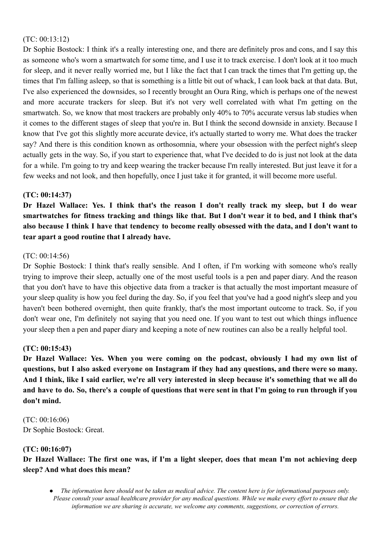### (TC: 00:13:12)

Dr Sophie Bostock: I think it's a really interesting one, and there are definitely pros and cons, and I say this as someone who's worn a smartwatch for some time, and I use it to track exercise. I don't look at it too much for sleep, and it never really worried me, but I like the fact that I can track the times that I'm getting up, the times that I'm falling asleep, so that is something is a little bit out of whack, I can look back at that data. But, I've also experienced the downsides, so I recently brought an Oura Ring, which is perhaps one of the newest and more accurate trackers for sleep. But it's not very well correlated with what I'm getting on the smartwatch. So, we know that most trackers are probably only 40% to 70% accurate versus lab studies when it comes to the different stages of sleep that you're in. But I think the second downside in anxiety. Because I know that I've got this slightly more accurate device, it's actually started to worry me. What does the tracker say? And there is this condition known as orthosomnia, where your obsession with the perfect night's sleep actually gets in the way. So, if you start to experience that, what I've decided to do is just not look at the data for a while. I'm going to try and keep wearing the tracker because I'm really interested. But just leave it for a few weeks and not look, and then hopefully, once I just take it for granted, it will become more useful.

### **(TC: 00:14:37)**

Dr Hazel Wallace: Yes. I think that's the reason I don't really track my sleep, but I do wear smartwatches for fitness tracking and things like that. But I don't wear it to bed, and I think that's also because I think I have that tendency to become really obsessed with the data, and I don't want to **tear apart a good routine that I already have.**

### (TC: 00:14:56)

Dr Sophie Bostock: I think that's really sensible. And I often, if I'm working with someone who's really trying to improve their sleep, actually one of the most useful tools is a pen and paper diary. And the reason that you don't have to have this objective data from a tracker is that actually the most important measure of your sleep quality is how you feel during the day. So, if you feel that you've had a good night's sleep and you haven't been bothered overnight, then quite frankly, that's the most important outcome to track. So, if you don't wear one, I'm definitely not saying that you need one. If you want to test out which things influence your sleep then a pen and paper diary and keeping a note of new routines can also be a really helpful tool.

### **(TC: 00:15:43)**

**Dr Hazel Wallace: Yes. When you were coming on the podcast, obviously I had my own list of** questions, but I also asked everyone on Instagram if they had any questions, and there were so many. And I think, like I said earlier, we're all very interested in sleep because it's something that we all do and have to do. So, there's a couple of questions that were sent in that I'm going to run through if you **don't mind.**

(TC: 00:16:06) Dr Sophie Bostock: Great.

### **(TC: 00:16:07)**

Dr Hazel Wallace: The first one was, if I'm a light sleeper, does that mean I'm not achieving deep **sleep? And what does this mean?**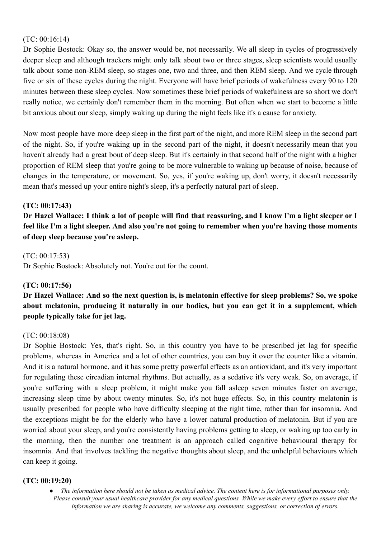### (TC: 00:16:14)

Dr Sophie Bostock: Okay so, the answer would be, not necessarily. We all sleep in cycles of progressively deeper sleep and although trackers might only talk about two or three stages, sleep scientists would usually talk about some non-REM sleep, so stages one, two and three, and then REM sleep. And we cycle through five or six of these cycles during the night. Everyone will have brief periods of wakefulness every 90 to 120 minutes between these sleep cycles. Now sometimes these brief periods of wakefulness are so short we don't really notice, we certainly don't remember them in the morning. But often when we start to become a little bit anxious about our sleep, simply waking up during the night feels like it's a cause for anxiety.

Now most people have more deep sleep in the first part of the night, and more REM sleep in the second part of the night. So, if you're waking up in the second part of the night, it doesn't necessarily mean that you haven't already had a great bout of deep sleep. But it's certainly in that second half of the night with a higher proportion of REM sleep that you're going to be more vulnerable to waking up because of noise, because of changes in the temperature, or movement. So, yes, if you're waking up, don't worry, it doesn't necessarily mean that's messed up your entire night's sleep, it's a perfectly natural part of sleep.

#### **(TC: 00:17:43)**

Dr Hazel Wallace: I think a lot of people will find that reassuring, and I know I'm a light sleeper or I feel like I'm a light sleeper. And also you're not going to remember when you're having those moments **of deep sleep because you're asleep.**

#### (TC: 00:17:53)

Dr Sophie Bostock: Absolutely not. You're out for the count.

#### **(TC: 00:17:56)**

Dr Hazel Wallace: And so the next question is, is melatonin effective for sleep problems? So, we spoke **about melatonin, producing it naturally in our bodies, but you can get it in a supplement, which people typically take for jet lag.**

#### (TC: 00:18:08)

Dr Sophie Bostock: Yes, that's right. So, in this country you have to be prescribed jet lag for specific problems, whereas in America and a lot of other countries, you can buy it over the counter like a vitamin. And it is a natural hormone, and it has some pretty powerful effects as an antioxidant, and it's very important for regulating these circadian internal rhythms. But actually, as a sedative it's very weak. So, on average, if you're suffering with a sleep problem, it might make you fall asleep seven minutes faster on average, increasing sleep time by about twenty minutes. So, it's not huge effects. So, in this country melatonin is usually prescribed for people who have difficulty sleeping at the right time, rather than for insomnia. And the exceptions might be for the elderly who have a lower natural production of melatonin. But if you are worried about your sleep, and you're consistently having problems getting to sleep, or waking up too early in the morning, then the number one treatment is an approach called cognitive behavioural therapy for insomnia. And that involves tackling the negative thoughts about sleep, and the unhelpful behaviours which can keep it going.

#### **(TC: 00:19:20)**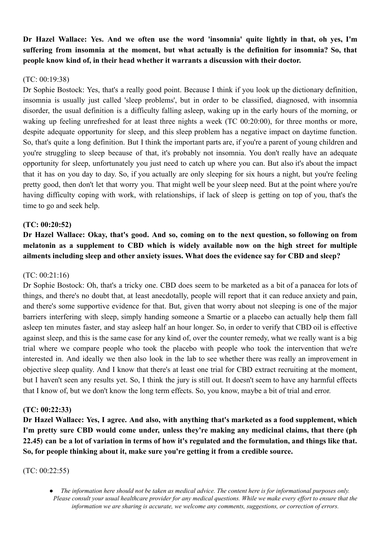**Dr Hazel Wallace: Yes. And we often use the word 'insomnia' quite lightly in that, oh yes, I'm suffering from insomnia at the moment, but what actually is the definition for insomnia? So, that people know kind of, in their head whether it warrants a discussion with their doctor.**

### (TC: 00:19:38)

Dr Sophie Bostock: Yes, that's a really good point. Because I think if you look up the dictionary definition, insomnia is usually just called 'sleep problems', but in order to be classified, diagnosed, with insomnia disorder, the usual definition is a difficulty falling asleep, waking up in the early hours of the morning, or waking up feeling unrefreshed for at least three nights a week (TC 00:20:00), for three months or more, despite adequate opportunity for sleep, and this sleep problem has a negative impact on daytime function. So, that's quite a long definition. But I think the important parts are, if you're a parent of young children and you're struggling to sleep because of that, it's probably not insomnia. You don't really have an adequate opportunity for sleep, unfortunately you just need to catch up where you can. But also it's about the impact that it has on you day to day. So, if you actually are only sleeping for six hours a night, but you're feeling pretty good, then don't let that worry you. That might well be your sleep need. But at the point where you're having difficulty coping with work, with relationships, if lack of sleep is getting on top of you, that's the time to go and seek help.

#### **(TC: 00:20:52)**

**Dr Hazel Wallace: Okay, that's good. And so, coming on to the next question, so following on from melatonin as a supplement to CBD which is widely available now on the high street for multiple ailments including sleep and other anxiety issues. What does the evidence say for CBD and sleep?**

#### (TC: 00:21:16)

Dr Sophie Bostock: Oh, that's a tricky one. CBD does seem to be marketed as a bit of a panacea for lots of things, and there's no doubt that, at least anecdotally, people will report that it can reduce anxiety and pain, and there's some supportive evidence for that. But, given that worry about not sleeping is one of the major barriers interfering with sleep, simply handing someone a Smartie or a placebo can actually help them fall asleep ten minutes faster, and stay asleep half an hour longer. So, in order to verify that CBD oil is effective against sleep, and this is the same case for any kind of, over the counter remedy, what we really want is a big trial where we compare people who took the placebo with people who took the intervention that we're interested in. And ideally we then also look in the lab to see whether there was really an improvement in objective sleep quality. And I know that there's at least one trial for CBD extract recruiting at the moment, but I haven't seen any results yet. So, I think the jury is still out. It doesn't seem to have any harmful effects that I know of, but we don't know the long term effects. So, you know, maybe a bit of trial and error.

#### **(TC: 00:22:33)**

**Dr Hazel Wallace: Yes, I agree. And also, with anything that's marketed as a food supplement, which I'm pretty sure CBD would come under, unless they're making any medicinal claims, that there (ph** 22.45) can be a lot of variation in terms of how it's regulated and the formulation, and things like that. **So, for people thinking about it, make sure you're getting it from a credible source.**

#### (TC: 00:22:55)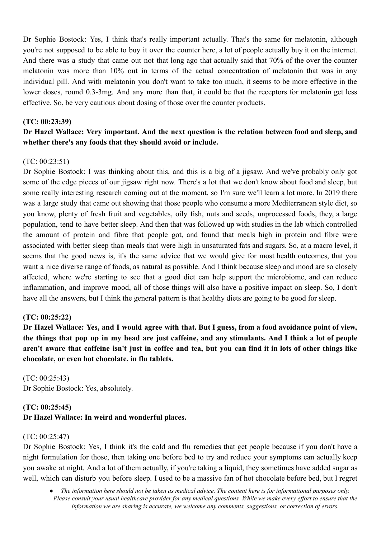Dr Sophie Bostock: Yes, I think that's really important actually. That's the same for melatonin, although you're not supposed to be able to buy it over the counter here, a lot of people actually buy it on the internet. And there was a study that came out not that long ago that actually said that 70% of the over the counter melatonin was more than 10% out in terms of the actual concentration of melatonin that was in any individual pill. And with melatonin you don't want to take too much, it seems to be more effective in the lower doses, round 0.3-3mg. And any more than that, it could be that the receptors for melatonin get less effective. So, be very cautious about dosing of those over the counter products.

#### **(TC: 00:23:39)**

# **Dr Hazel Wallace: Very important. And the next question is the relation between food and sleep, and whether there's any foods that they should avoid or include.**

#### (TC: 00:23:51)

Dr Sophie Bostock: I was thinking about this, and this is a big of a jigsaw. And we've probably only got some of the edge pieces of our jigsaw right now. There's a lot that we don't know about food and sleep, but some really interesting research coming out at the moment, so I'm sure we'll learn a lot more. In 2019 there was a large study that came out showing that those people who consume a more Mediterranean style diet, so you know, plenty of fresh fruit and vegetables, oily fish, nuts and seeds, unprocessed foods, they, a large population, tend to have better sleep. And then that was followed up with studies in the lab which controlled the amount of protein and fibre that people got, and found that meals high in protein and fibre were associated with better sleep than meals that were high in unsaturated fats and sugars. So, at a macro level, it seems that the good news is, it's the same advice that we would give for most health outcomes, that you want a nice diverse range of foods, as natural as possible. And I think because sleep and mood are so closely affected, where we're starting to see that a good diet can help support the microbiome, and can reduce inflammation, and improve mood, all of those things will also have a positive impact on sleep. So, I don't have all the answers, but I think the general pattern is that healthy diets are going to be good for sleep.

#### **(TC: 00:25:22)**

Dr Hazel Wallace: Yes, and I would agree with that. But I guess, from a food avoidance point of view, the things that pop up in my head are just caffeine, and any stimulants. And I think a lot of people aren't aware that caffeine isn't just in coffee and tea, but you can find it in lots of other things like **chocolate, or even hot chocolate, in flu tablets.**

(TC: 00:25:43) Dr Sophie Bostock: Yes, absolutely.

### **(TC: 00:25:45) Dr Hazel Wallace: In weird and wonderful places.**

### (TC: 00:25:47)

Dr Sophie Bostock: Yes, I think it's the cold and flu remedies that get people because if you don't have a night formulation for those, then taking one before bed to try and reduce your symptoms can actually keep you awake at night. And a lot of them actually, if you're taking a liquid, they sometimes have added sugar as well, which can disturb you before sleep. I used to be a massive fan of hot chocolate before bed, but I regret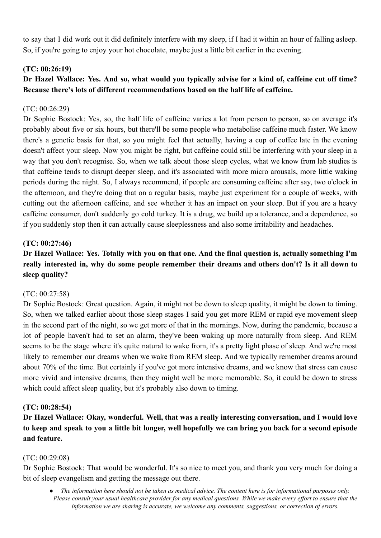to say that I did work out it did definitely interfere with my sleep, if I had it within an hour of falling asleep. So, if you're going to enjoy your hot chocolate, maybe just a little bit earlier in the evening.

### **(TC: 00:26:19)**

# Dr Hazel Wallace: Yes. And so, what would you typically advise for a kind of, caffeine cut off time? **Because there's lots of different recommendations based on the half life of caffeine.**

### (TC: 00:26:29)

Dr Sophie Bostock: Yes, so, the half life of caffeine varies a lot from person to person, so on average it's probably about five or six hours, but there'll be some people who metabolise caffeine much faster. We know there's a genetic basis for that, so you might feel that actually, having a cup of coffee late in the evening doesn't affect your sleep. Now you might be right, but caffeine could still be interfering with your sleep in a way that you don't recognise. So, when we talk about those sleep cycles, what we know from lab studies is that caffeine tends to disrupt deeper sleep, and it's associated with more micro arousals, more little waking periods during the night. So, I always recommend, if people are consuming caffeine after say, two o'clock in the afternoon, and they're doing that on a regular basis, maybe just experiment for a couple of weeks, with cutting out the afternoon caffeine, and see whether it has an impact on your sleep. But if you are a heavy caffeine consumer, don't suddenly go cold turkey. It is a drug, we build up a tolerance, and a dependence, so if you suddenly stop then it can actually cause sleeplessness and also some irritability and headaches.

### **(TC: 00:27:46)**

# Dr Hazel Wallace: Yes. Totally with you on that one. And the final question is, actually something I'm **really interested in, why do some people remember their dreams and others don't? Is it all down to sleep quality?**

### (TC: 00:27:58)

Dr Sophie Bostock: Great question. Again, it might not be down to sleep quality, it might be down to timing. So, when we talked earlier about those sleep stages I said you get more REM or rapid eye movement sleep in the second part of the night, so we get more of that in the mornings. Now, during the pandemic, because a lot of people haven't had to set an alarm, they've been waking up more naturally from sleep. And REM seems to be the stage where it's quite natural to wake from, it's a pretty light phase of sleep. And we're most likely to remember our dreams when we wake from REM sleep. And we typically remember dreams around about 70% of the time. But certainly if you've got more intensive dreams, and we know that stress can cause more vivid and intensive dreams, then they might well be more memorable. So, it could be down to stress which could affect sleep quality, but it's probably also down to timing.

### **(TC: 00:28:54)**

**Dr Hazel Wallace: Okay, wonderful. Well, that was a really interesting conversation, and I would love** to keep and speak to you a little bit longer, well hopefully we can bring you back for a second episode **and feature.**

### (TC: 00:29:08)

Dr Sophie Bostock: That would be wonderful. It's so nice to meet you, and thank you very much for doing a bit of sleep evangelism and getting the message out there.